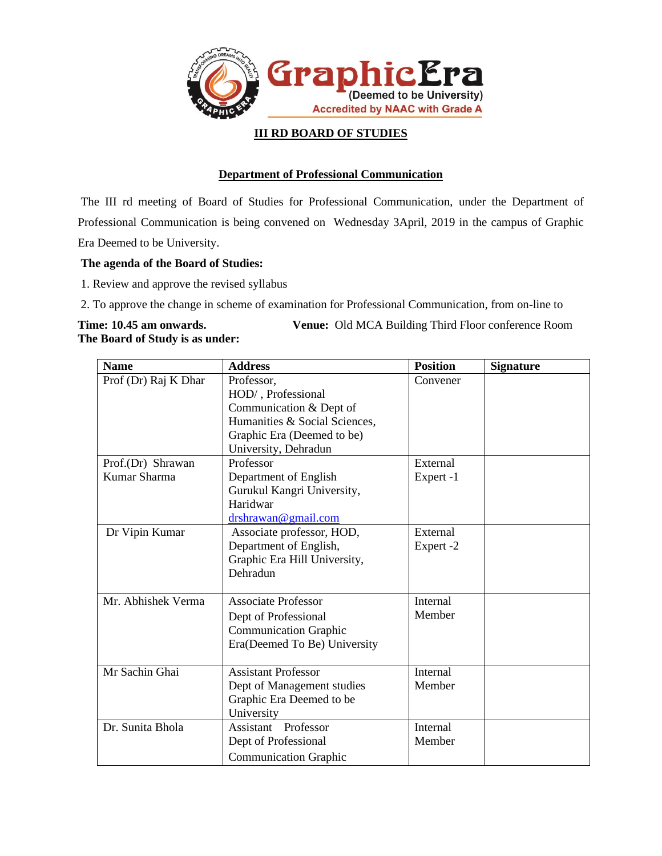

#### **III RD BOARD OF STUDIES**

#### **Department of Professional Communication**

The III rd meeting of Board of Studies for Professional Communication, under the Department of Professional Communication is being convened on Wednesday 3April, 2019 in the campus of Graphic Era Deemed to be University.

#### **The agenda of the Board of Studies:**

1. Review and approve the revised syllabus

2. To approve the change in scheme of examination for Professional Communication, from on-line to

**Time: 10.45 am onwards. Venue:** Old MCA Building Third Floor conference Room **The Board of Study is as under:**

| <b>Name</b>          | <b>Address</b>                | <b>Position</b> | <b>Signature</b> |
|----------------------|-------------------------------|-----------------|------------------|
| Prof (Dr) Raj K Dhar | Professor,                    | Convener        |                  |
|                      | HOD/, Professional            |                 |                  |
|                      | Communication & Dept of       |                 |                  |
|                      | Humanities & Social Sciences, |                 |                  |
|                      | Graphic Era (Deemed to be)    |                 |                  |
|                      | University, Dehradun          |                 |                  |
| Prof.(Dr) Shrawan    | Professor                     | External        |                  |
| Kumar Sharma         | Department of English         | Expert -1       |                  |
|                      | Gurukul Kangri University,    |                 |                  |
|                      | Haridwar                      |                 |                  |
|                      | drshrawan@gmail.com           |                 |                  |
| Dr Vipin Kumar       | Associate professor, HOD,     | External        |                  |
|                      | Department of English,        | Expert -2       |                  |
|                      | Graphic Era Hill University,  |                 |                  |
|                      | Dehradun                      |                 |                  |
|                      |                               |                 |                  |
| Mr. Abhishek Verma   | <b>Associate Professor</b>    | Internal        |                  |
|                      | Dept of Professional          | Member          |                  |
|                      | <b>Communication Graphic</b>  |                 |                  |
|                      | Era(Deemed To Be) University  |                 |                  |
|                      |                               |                 |                  |
| Mr Sachin Ghai       | <b>Assistant Professor</b>    | Internal        |                  |
|                      | Dept of Management studies    | Member          |                  |
|                      | Graphic Era Deemed to be      |                 |                  |
|                      | University                    |                 |                  |
| Dr. Sunita Bhola     | Assistant Professor           | Internal        |                  |
|                      | Dept of Professional          | Member          |                  |
|                      | <b>Communication Graphic</b>  |                 |                  |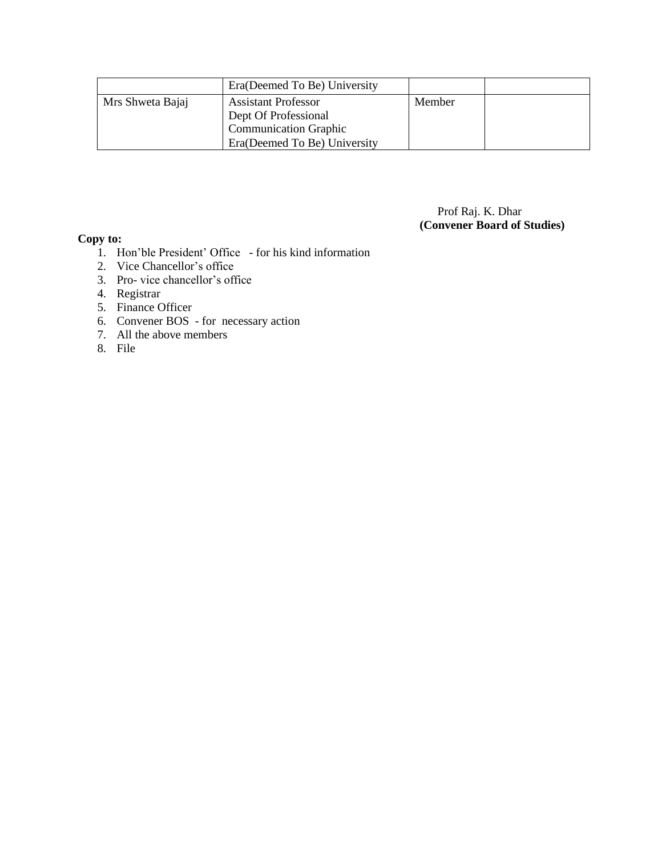|                  | Era(Deemed To Be) University                                                                                       |        |  |
|------------------|--------------------------------------------------------------------------------------------------------------------|--------|--|
| Mrs Shweta Bajaj | <b>Assistant Professor</b><br>Dept Of Professional<br><b>Communication Graphic</b><br>Era(Deemed To Be) University | Member |  |

#### Prof Raj. K. Dhar  **(Convener Board of Studies)**

#### **Copy to:**

- 1. Hon'ble President' Office for his kind information
- 2. Vice Chancellor's office
- 3. Pro- vice chancellor's office
- 4. Registrar
- 5. Finance Officer
- 6. Convener BOS for necessary action
- 7. All the above members
- 8. File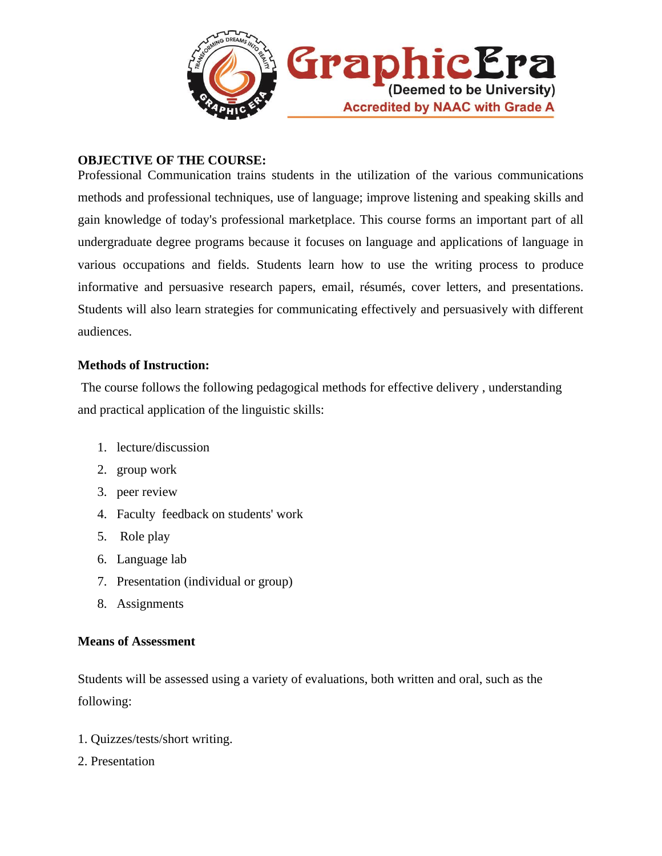

## **OBJECTIVE OF THE COURSE:**

Professional Communication trains students in the utilization of the various communications methods and professional techniques, use of language; improve listening and speaking skills and gain knowledge of today's professional marketplace. This course forms an important part of all undergraduate degree programs because it focuses on language and applications of language in various occupations and fields. Students learn how to use the writing process to produce informative and persuasive research papers, email, résumés, cover letters, and presentations. Students will also learn strategies for communicating effectively and persuasively with different audiences.

## **Methods of Instruction:**

The course follows the following pedagogical methods for effective delivery , understanding and practical application of the linguistic skills:

- 1. lecture/discussion
- 2. group work
- 3. peer review
- 4. Faculty feedback on students' work
- 5. Role play
- 6. Language lab
- 7. Presentation (individual or group)
- 8. Assignments

## **Means of Assessment**

Students will be assessed using a variety of evaluations, both written and oral, such as the following:

- 1. Quizzes/tests/short writing.
- 2. Presentation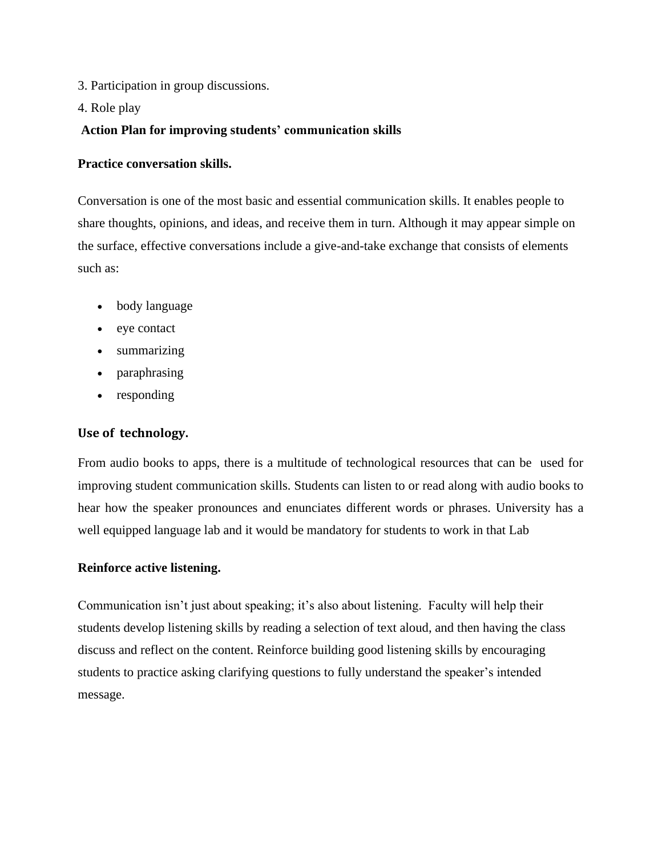- 3. Participation in group discussions.
- 4. Role play

## **Action Plan for improving students' communication skills**

#### **Practice conversation skills.**

Conversation is one of the most basic and essential communication skills. It enables people to share thoughts, opinions, and ideas, and receive them in turn. Although it may appear simple on the surface, effective conversations include a give-and-take exchange that consists of elements such as:

- body language
- eye contact
- summarizing
- paraphrasing
- responding

## **Use of technology.**

From audio books to apps, there is a multitude of technological resources that can be used for improving student communication skills. Students can listen to or read along with audio books to hear how the speaker pronounces and enunciates different words or phrases. University has a well equipped language lab and it would be mandatory for students to work in that Lab

#### **Reinforce active listening.**

Communication isn't just about speaking; it's also about listening. Faculty will help their students develop listening skills by reading a selection of text aloud, and then having the class discuss and reflect on the content. Reinforce building good listening skills by encouraging students to practice asking clarifying questions to fully understand the speaker's intended message.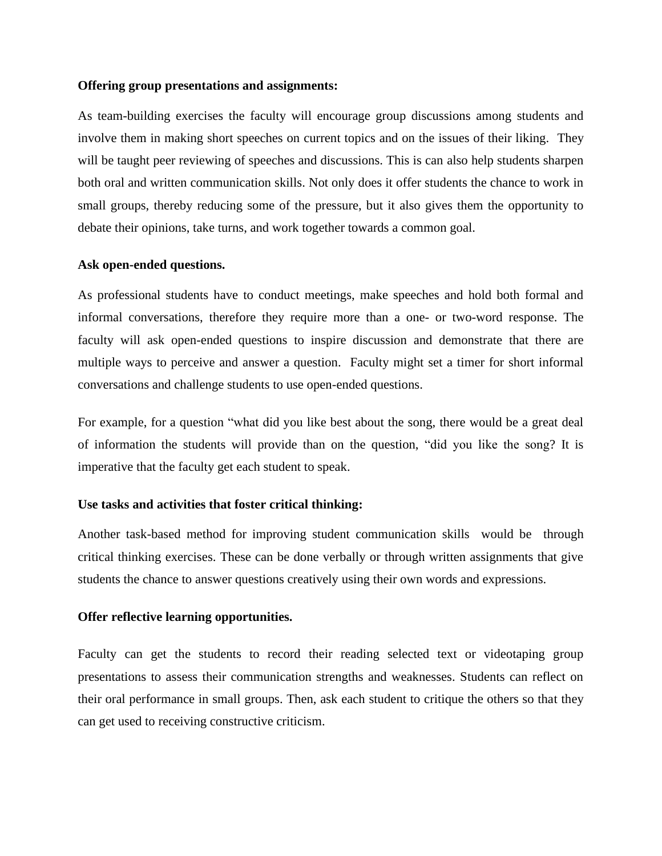#### **Offering group presentations and assignments:**

As team-building exercises the faculty will encourage group discussions among students and involve them in making short speeches on current topics and on the issues of their liking. They will be taught peer reviewing of speeches and discussions. This is can also help students sharpen both oral and written communication skills. Not only does it offer students the chance to work in small groups, thereby reducing some of the pressure, but it also gives them the opportunity to debate their opinions, take turns, and work together towards a common goal.

#### **Ask open-ended questions.**

As professional students have to conduct meetings, make speeches and hold both formal and informal conversations, therefore they require more than a one- or two-word response. The faculty will ask open-ended questions to inspire discussion and demonstrate that there are multiple ways to perceive and answer a question. Faculty might set a timer for short informal conversations and challenge students to use open-ended questions.

For example, for a question "what did you like best about the song, there would be a great deal of information the students will provide than on the question, "did you like the song? It is imperative that the faculty get each student to speak.

#### **Use tasks and activities that foster critical thinking:**

Another task-based method for improving student communication skills would be through critical thinking exercises. These can be done verbally or through written assignments that give students the chance to answer questions creatively using their own words and expressions.

#### **Offer reflective learning opportunities.**

Faculty can get the students to record their reading selected text or videotaping group presentations to assess their communication strengths and weaknesses. Students can reflect on their oral performance in small groups. Then, ask each student to critique the others so that they can get used to receiving constructive criticism.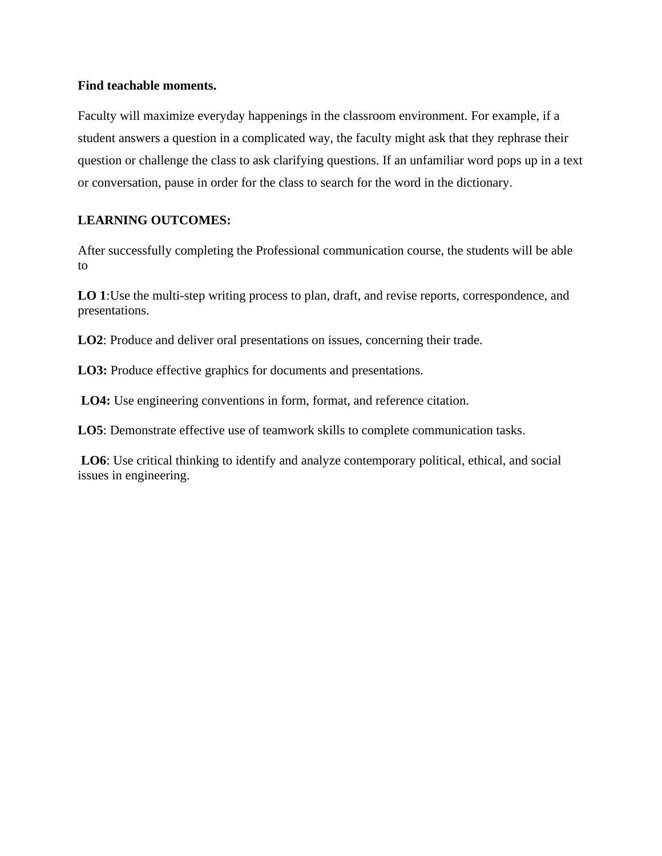#### **Find teachable moments.**

Faculty will maximize everyday happenings in the classroom environment. For example, if a student answers a question in a complicated way, the faculty might ask that they rephrase their question or challenge the class to ask clarifying questions. If an unfamiliar word pops up in a text or conversation, pause in order for the class to search for the word in the dictionary.

## **LEARNING OUTCOMES:**

After successfully completing the Professional communication course, the students will be able to

**LO 1**:Use the multi-step writing process to plan, draft, and revise reports, correspondence, and presentations.

**LO2**: Produce and deliver oral presentations on issues, concerning their trade.

**LO3:** Produce effective graphics for documents and presentations.

**LO4:** Use engineering conventions in form, format, and reference citation.

**LO5**: Demonstrate effective use of teamwork skills to complete communication tasks.

**LO6**: Use critical thinking to identify and analyze contemporary political, ethical, and social issues in engineering.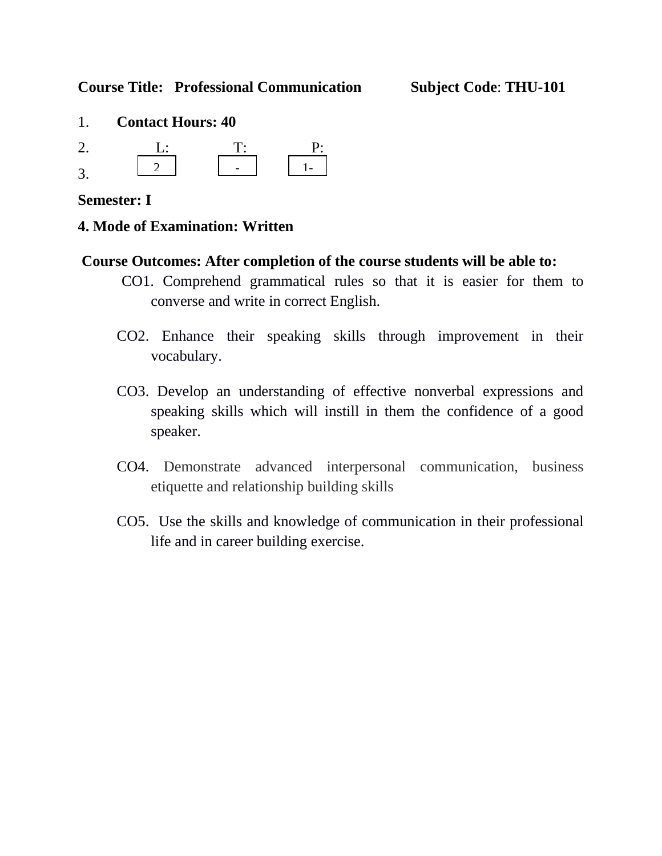**Course Title: Professional Communication Subject Code**: **THU-101**

- 1. **Contact Hours: 40**
- 2. <u>L: T: P:</u> 3. 2  $1$

# **Semester: I**

# **4. Mode of Examination: Written**

# **Course Outcomes: After completion of the course students will be able to:**

- CO1. Comprehend grammatical rules so that it is easier for them to converse and write in correct English.
- CO2. Enhance their speaking skills through improvement in their vocabulary.
- CO3. Develop an understanding of effective nonverbal expressions and speaking skills which will instill in them the confidence of a good speaker.
- CO4. Demonstrate advanced interpersonal communication, business etiquette and relationship building skills
- CO5. Use the skills and knowledge of communication in their professional life and in career building exercise.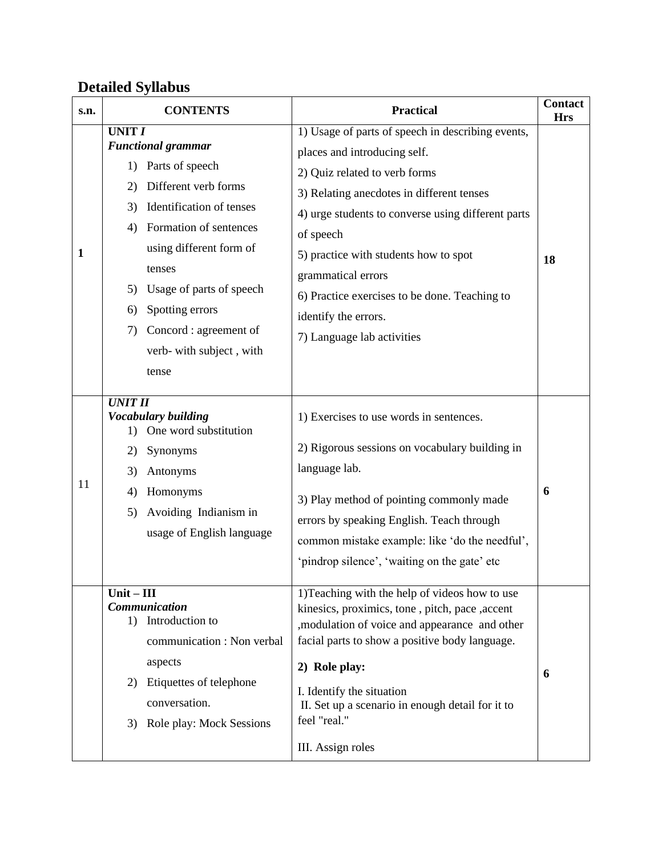# **Detailed Syllabus**

| s.n.         | <b>CONTENTS</b>                                                                                                                                                                                                                                                                                                                          | <b>Practical</b>                                                                                                                                                                                                                                                                                                                                                                                         | <b>Contact</b><br><b>Hrs</b> |
|--------------|------------------------------------------------------------------------------------------------------------------------------------------------------------------------------------------------------------------------------------------------------------------------------------------------------------------------------------------|----------------------------------------------------------------------------------------------------------------------------------------------------------------------------------------------------------------------------------------------------------------------------------------------------------------------------------------------------------------------------------------------------------|------------------------------|
| $\mathbf{1}$ | <b>UNIT I</b><br><b>Functional grammar</b><br>Parts of speech<br>1)<br>Different verb forms<br>2)<br>Identification of tenses<br>3)<br>Formation of sentences<br>4)<br>using different form of<br>tenses<br>Usage of parts of speech<br>5)<br>Spotting errors<br>6)<br>Concord : agreement of<br>7)<br>verb- with subject, with<br>tense | 1) Usage of parts of speech in describing events,<br>places and introducing self.<br>2) Quiz related to verb forms<br>3) Relating anecdotes in different tenses<br>4) urge students to converse using different parts<br>of speech<br>5) practice with students how to spot<br>grammatical errors<br>6) Practice exercises to be done. Teaching to<br>identify the errors.<br>7) Language lab activities | 18                           |
| 11           | <b>UNIT II</b><br><b>Vocabulary building</b><br>1) One word substitution<br>Synonyms<br>2)<br>Antonyms<br>3)<br>Homonyms<br>4)<br>Avoiding Indianism in<br>5)<br>usage of English language                                                                                                                                               | 1) Exercises to use words in sentences.<br>2) Rigorous sessions on vocabulary building in<br>language lab.<br>3) Play method of pointing commonly made<br>errors by speaking English. Teach through<br>common mistake example: like 'do the needful',<br>'pindrop silence', 'waiting on the gate' etc                                                                                                    | 6                            |
|              | $Unit - III$<br>Communication<br>Introduction to<br>1)<br>communication : Non verbal<br>aspects<br>Etiquettes of telephone<br>2)<br>conversation.<br>Role play: Mock Sessions<br>3)                                                                                                                                                      | 1) Teaching with the help of videos how to use<br>kinesics, proximics, tone, pitch, pace, accent<br>, modulation of voice and appearance and other<br>facial parts to show a positive body language.<br>2) Role play:<br>I. Identify the situation<br>II. Set up a scenario in enough detail for it to<br>feel "real."<br>III. Assign roles                                                              | 6                            |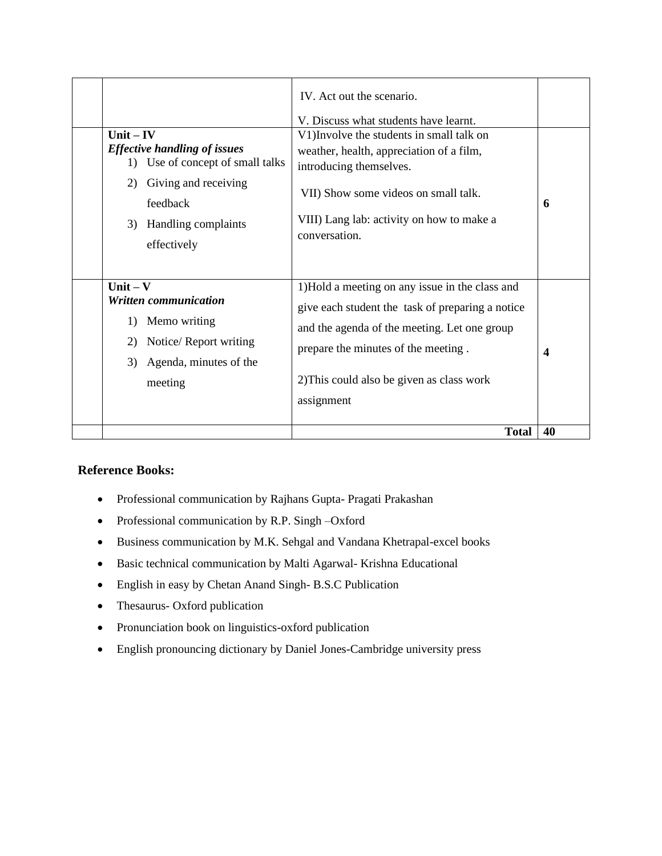|                                                                                                                                                                              | IV. Act out the scenario.<br>V. Discuss what students have learnt.                                                                                                                                                                                   |                  |
|------------------------------------------------------------------------------------------------------------------------------------------------------------------------------|------------------------------------------------------------------------------------------------------------------------------------------------------------------------------------------------------------------------------------------------------|------------------|
| $Unit - IV$<br><b>Effective handling of issues</b><br>1) Use of concept of small talks<br>Giving and receiving<br>2)<br>feedback<br>Handling complaints<br>3)<br>effectively | V1) Involve the students in small talk on<br>weather, health, appreciation of a film,<br>introducing themselves.<br>VII) Show some videos on small talk.<br>VIII) Lang lab: activity on how to make a<br>conversation.                               | 6                |
| $Unit - V$<br>Written communication<br>Memo writing<br>1)<br>Notice/ Report writing<br>2)<br>Agenda, minutes of the<br>3)<br>meeting                                         | 1)Hold a meeting on any issue in the class and<br>give each student the task of preparing a notice<br>and the agenda of the meeting. Let one group<br>prepare the minutes of the meeting.<br>2) This could also be given as class work<br>assignment | $\boldsymbol{4}$ |
|                                                                                                                                                                              | <b>Total</b>                                                                                                                                                                                                                                         | 40               |

#### **Reference Books:**

- Professional communication by Rajhans Gupta- Pragati Prakashan
- Professional communication by R.P. Singh –Oxford
- Business communication by M.K. Sehgal and Vandana Khetrapal-excel books
- Basic technical communication by Malti Agarwal- Krishna Educational
- English in easy by Chetan Anand Singh- B.S.C Publication
- Thesaurus- Oxford publication
- Pronunciation book on linguistics-oxford publication
- English pronouncing dictionary by Daniel Jones-Cambridge university press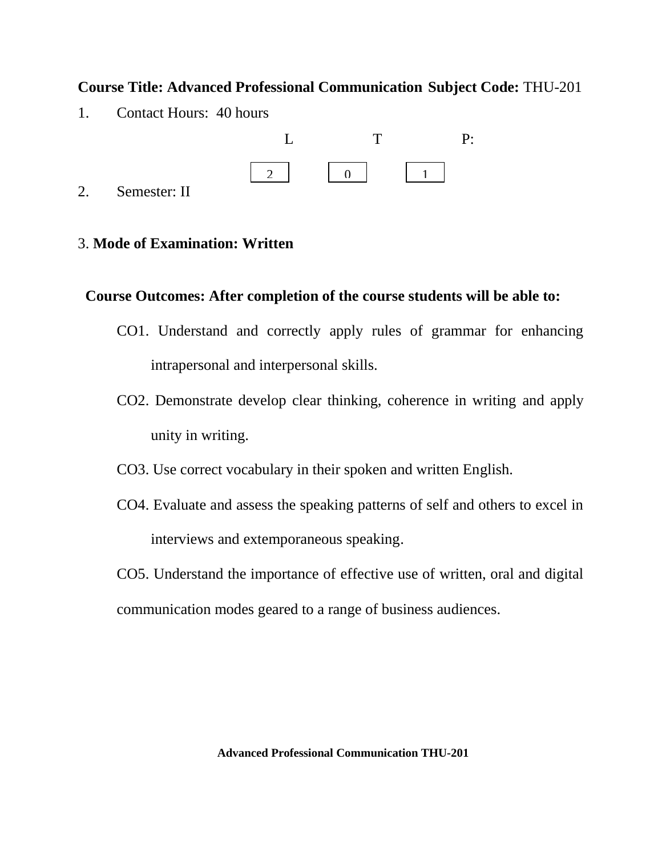# **Course Title: Advanced Professional Communication Subject Code:** THU-201

1. Contact Hours: 40 hours



2. Semester: II

# 3. **Mode of Examination: Written**

# **Course Outcomes: After completion of the course students will be able to:**

- CO1. Understand and correctly apply rules of grammar for enhancing intrapersonal and interpersonal skills.
- CO2. Demonstrate develop clear thinking, coherence in writing and apply unity in writing.
- CO3. Use correct vocabulary in their spoken and written English.
- CO4. Evaluate and assess the speaking patterns of self and others to excel in interviews and extemporaneous speaking.
- CO5. Understand the importance of effective use of written, oral and digital communication modes geared to a range of business audiences.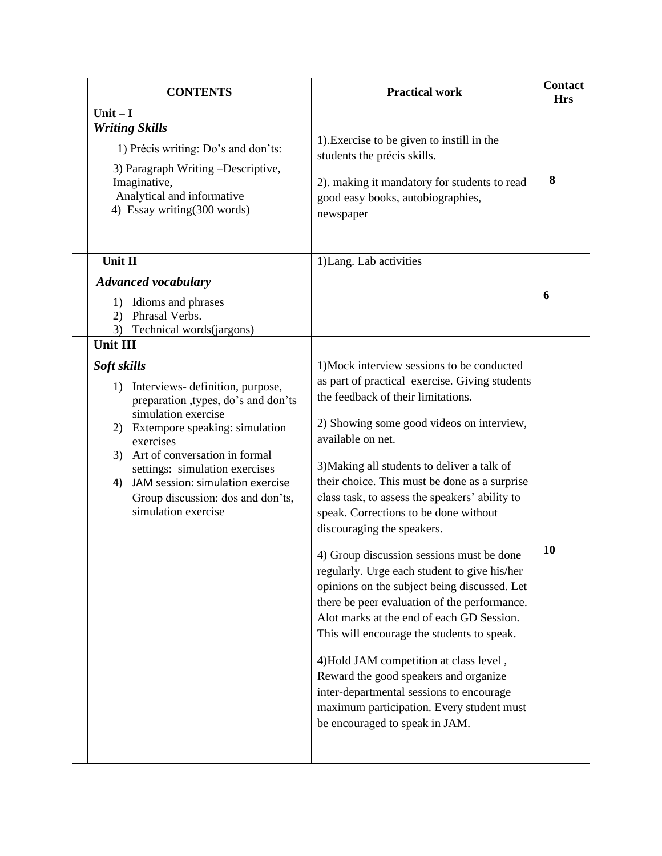|                                            | <b>CONTENTS</b>                                                                                                                                                                                                                                                                                                        | <b>Practical work</b>                                                                                                                                                                                                                                                                                                                                                                                                                                                                                                                                                                                                                                                                                                                                                                                                                                                                                                                | <b>Contact</b><br><b>Hrs</b> |
|--------------------------------------------|------------------------------------------------------------------------------------------------------------------------------------------------------------------------------------------------------------------------------------------------------------------------------------------------------------------------|--------------------------------------------------------------------------------------------------------------------------------------------------------------------------------------------------------------------------------------------------------------------------------------------------------------------------------------------------------------------------------------------------------------------------------------------------------------------------------------------------------------------------------------------------------------------------------------------------------------------------------------------------------------------------------------------------------------------------------------------------------------------------------------------------------------------------------------------------------------------------------------------------------------------------------------|------------------------------|
| Unit $-I$<br><b>Writing Skills</b>         | 1) Précis writing: Do's and don'ts:<br>3) Paragraph Writing -Descriptive,<br>Imaginative,<br>Analytical and informative<br>4) Essay writing(300 words)                                                                                                                                                                 | 1). Exercise to be given to instill in the<br>students the précis skills.<br>2). making it mandatory for students to read<br>good easy books, autobiographies,<br>newspaper                                                                                                                                                                                                                                                                                                                                                                                                                                                                                                                                                                                                                                                                                                                                                          | 8                            |
| Unit II<br>(2)<br>3)                       | <b>Advanced vocabulary</b><br>1) Idioms and phrases<br>Phrasal Verbs.<br>Technical words(jargons)                                                                                                                                                                                                                      | 1) Lang. Lab activities                                                                                                                                                                                                                                                                                                                                                                                                                                                                                                                                                                                                                                                                                                                                                                                                                                                                                                              | 6                            |
| <b>Unit III</b><br>Soft skills<br>3)<br>4) | 1) Interviews-definition, purpose,<br>preparation , types, do's and don'ts<br>simulation exercise<br>2) Extempore speaking: simulation<br>exercises<br>Art of conversation in formal<br>settings: simulation exercises<br>JAM session: simulation exercise<br>Group discussion: dos and don'ts,<br>simulation exercise | 1) Mock interview sessions to be conducted<br>as part of practical exercise. Giving students<br>the feedback of their limitations.<br>2) Showing some good videos on interview,<br>available on net.<br>3) Making all students to deliver a talk of<br>their choice. This must be done as a surprise<br>class task, to assess the speakers' ability to<br>speak. Corrections to be done without<br>discouraging the speakers.<br>4) Group discussion sessions must be done<br>regularly. Urge each student to give his/her<br>opinions on the subject being discussed. Let<br>there be peer evaluation of the performance.<br>Alot marks at the end of each GD Session.<br>This will encourage the students to speak.<br>4) Hold JAM competition at class level,<br>Reward the good speakers and organize<br>inter-departmental sessions to encourage<br>maximum participation. Every student must<br>be encouraged to speak in JAM. | 10                           |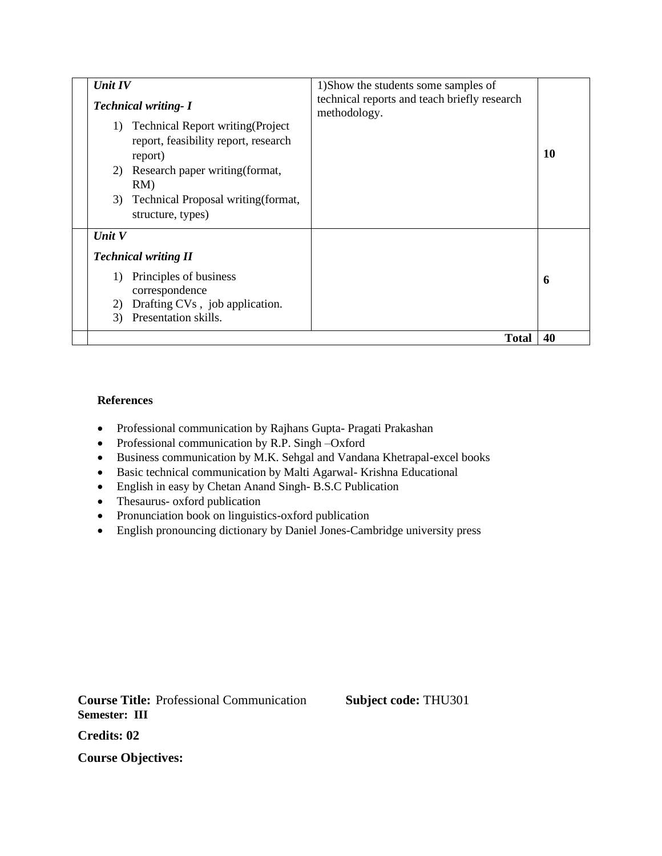| <b>Unit IV</b><br><b>Technical writing- I</b><br><b>Technical Report writing (Project</b><br>1)<br>report, feasibility report, research<br>report)<br>2) Research paper writing (format,<br>RM)<br>Technical Proposal writing (format,<br>3)<br>structure, types) | 1) Show the students some samples of<br>technical reports and teach briefly research<br>methodology. | 10 |
|-------------------------------------------------------------------------------------------------------------------------------------------------------------------------------------------------------------------------------------------------------------------|------------------------------------------------------------------------------------------------------|----|
| Unit $V$<br><b>Technical writing II</b><br>Principles of business<br>1)<br>correspondence<br>Drafting CVs, job application.<br>2)<br>Presentation skills.<br>3)                                                                                                   |                                                                                                      | 6  |
|                                                                                                                                                                                                                                                                   | <b>Total</b>                                                                                         | 40 |

#### **References**

- Professional communication by Rajhans Gupta- Pragati Prakashan
- Professional communication by R.P. Singh –Oxford
- Business communication by M.K. Sehgal and Vandana Khetrapal-excel books
- Basic technical communication by Malti Agarwal- Krishna Educational
- English in easy by Chetan Anand Singh- B.S.C Publication
- Thesaurus- oxford publication
- Pronunciation book on linguistics-oxford publication
- English pronouncing dictionary by Daniel Jones-Cambridge university press

**Course Title:** Professional Communication **Subject code:** THU301 **Semester: III**

**Credits: 02**

**Course Objectives:**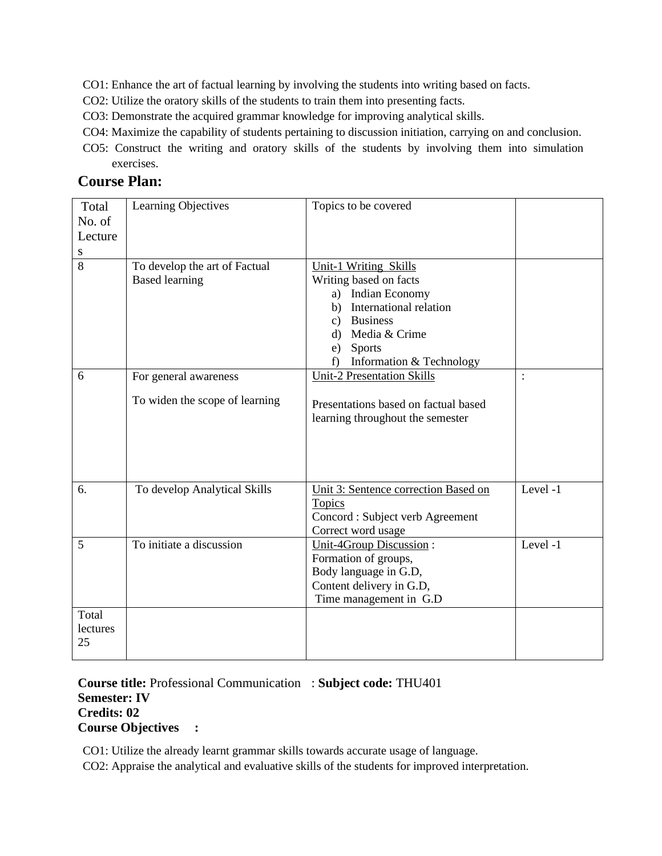- CO1: Enhance the art of factual learning by involving the students into writing based on facts.
- CO2: Utilize the oratory skills of the students to train them into presenting facts.
- CO3: Demonstrate the acquired grammar knowledge for improving analytical skills.
- CO4: Maximize the capability of students pertaining to discussion initiation, carrying on and conclusion.
- CO5: Construct the writing and oratory skills of the students by involving them into simulation exercises.

# **Course Plan:**

| Total                   | Learning Objectives                                     | Topics to be covered                                                                                                                                              |                |
|-------------------------|---------------------------------------------------------|-------------------------------------------------------------------------------------------------------------------------------------------------------------------|----------------|
| No. of                  |                                                         |                                                                                                                                                                   |                |
| Lecture                 |                                                         |                                                                                                                                                                   |                |
| S                       |                                                         |                                                                                                                                                                   |                |
| 8                       | To develop the art of Factual<br><b>Based learning</b>  | <b>Unit-1 Writing Skills</b><br>Writing based on facts<br>a) Indian Economy<br>International relation<br>b)<br>c) Business<br>Media & Crime<br>d)<br>Sports<br>e) |                |
| 6                       |                                                         | Information & Technology<br>f)                                                                                                                                    |                |
|                         | For general awareness<br>To widen the scope of learning | <b>Unit-2 Presentation Skills</b><br>Presentations based on factual based<br>learning throughout the semester                                                     | $\ddot{\cdot}$ |
| 6.                      | To develop Analytical Skills                            | Unit 3: Sentence correction Based on<br><b>Topics</b><br>Concord : Subject verb Agreement<br>Correct word usage                                                   | Level -1       |
| 5                       | To initiate a discussion                                | <b>Unit-4Group Discussion:</b><br>Formation of groups,<br>Body language in G.D,<br>Content delivery in G.D,<br>Time management in G.D                             | Level -1       |
| Total<br>lectures<br>25 |                                                         |                                                                                                                                                                   |                |

**Course title:** Professional Communication : **Subject code:** THU401 **Semester: IV Credits: 02 Course Objectives :**

CO1: Utilize the already learnt grammar skills towards accurate usage of language.

CO2: Appraise the analytical and evaluative skills of the students for improved interpretation.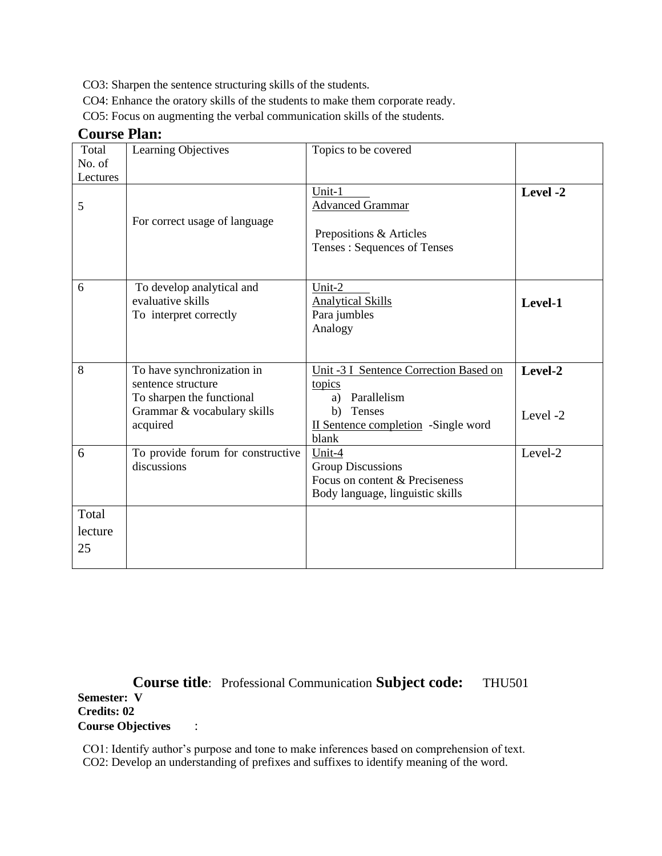CO3: Sharpen the sentence structuring skills of the students.

CO4: Enhance the oratory skills of the students to make them corporate ready.

CO5: Focus on augmenting the verbal communication skills of the students.

## **Course Plan:**

| Total<br>No. of<br>Lectures | Learning Objectives                                                                                                      | Topics to be covered                                                                                                            |                     |
|-----------------------------|--------------------------------------------------------------------------------------------------------------------------|---------------------------------------------------------------------------------------------------------------------------------|---------------------|
| 5                           | For correct usage of language                                                                                            | Unit-1<br><b>Advanced Grammar</b><br>Prepositions & Articles<br>Tenses: Sequences of Tenses                                     | Level -2            |
| 6                           | To develop analytical and<br>evaluative skills<br>To interpret correctly                                                 | Unit-2<br><b>Analytical Skills</b><br>Para jumbles<br>Analogy                                                                   | Level-1             |
| 8                           | To have synchronization in<br>sentence structure<br>To sharpen the functional<br>Grammar & vocabulary skills<br>acquired | Unit -3 I Sentence Correction Based on<br>topics<br>a) Parallelism<br>b) Tenses<br>II Sentence completion -Single word<br>blank | Level-2<br>Level -2 |
| 6                           | To provide forum for constructive<br>discussions                                                                         | Unit-4<br><b>Group Discussions</b><br>Focus on content & Preciseness<br>Body language, linguistic skills                        | Level-2             |
| Total<br>lecture<br>25      |                                                                                                                          |                                                                                                                                 |                     |

**Course title**: Professional Communication **Subject code:** THU501 **Semester: V Credits: 02 Course Objectives** :

CO1: Identify author's purpose and tone to make inferences based on comprehension of text. CO2: Develop an understanding of prefixes and suffixes to identify meaning of the word.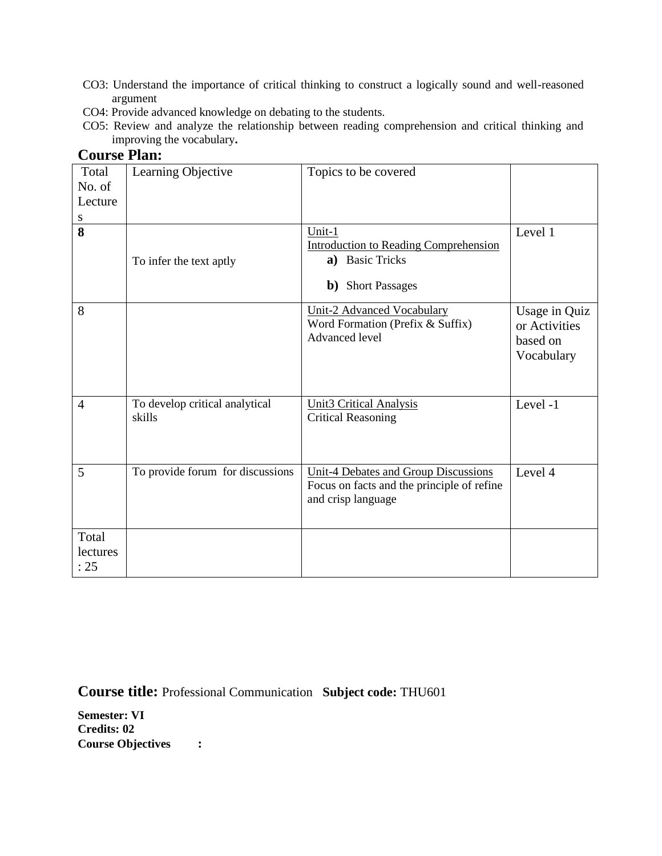- CO3: Understand the importance of critical thinking to construct a logically sound and well-reasoned argument
- CO4: Provide advanced knowledge on debating to the students.
- CO5: Review and analyze the relationship between reading comprehension and critical thinking and improving the vocabulary**.**

## **Course Plan:**

| Total<br>No. of<br>Lecture<br>${\bf S}$ | Learning Objective                       | Topics to be covered                                                                                     |                                                          |
|-----------------------------------------|------------------------------------------|----------------------------------------------------------------------------------------------------------|----------------------------------------------------------|
| 8                                       | To infer the text aptly                  | Unit-1<br><b>Introduction to Reading Comprehension</b><br>a) Basic Tricks<br><b>b</b> ) Short Passages   | Level 1                                                  |
| 8                                       |                                          | <b>Unit-2 Advanced Vocabulary</b><br>Word Formation (Prefix & Suffix)<br><b>Advanced</b> level           | Usage in Quiz<br>or Activities<br>based on<br>Vocabulary |
| $\overline{4}$                          | To develop critical analytical<br>skills | <b>Unit3 Critical Analysis</b><br><b>Critical Reasoning</b>                                              | Level -1                                                 |
| 5                                       | To provide forum for discussions         | Unit-4 Debates and Group Discussions<br>Focus on facts and the principle of refine<br>and crisp language | Level 4                                                  |
| Total<br>lectures<br>: 25               |                                          |                                                                                                          |                                                          |

**Course title:** Professional Communication **Subject code:** THU601

**Semester: VI Credits: 02 Course Objectives :**